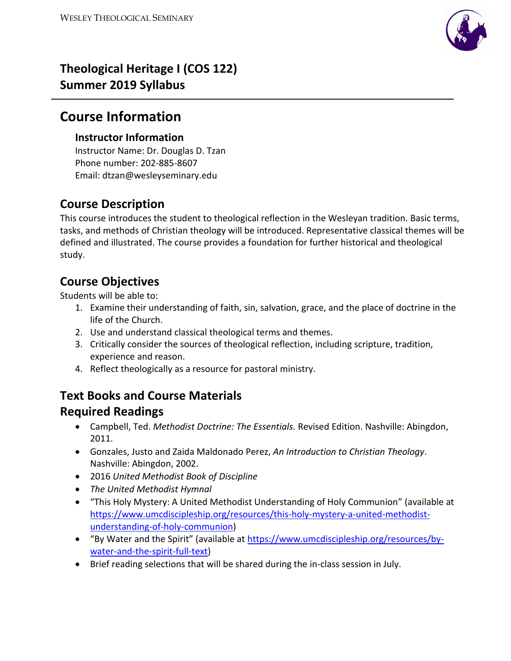

# **Theological Heritage I (COS 122) Summer 2019 Syllabus**

# **Course Information**

## **Instructor Information**

Instructor Name: Dr. Douglas D. Tzan Phone number: 202-885-8607 Email: dtzan@wesleyseminary.edu

## **Course Description**

This course introduces the student to theological reflection in the Wesleyan tradition. Basic terms, tasks, and methods of Christian theology will be introduced. Representative classical themes will be defined and illustrated. The course provides a foundation for further historical and theological study.

# **Course Objectives**

Students will be able to:

- 1. Examine their understanding of faith, sin, salvation, grace, and the place of doctrine in the life of the Church.
- 2. Use and understand classical theological terms and themes.
- 3. Critically consider the sources of theological reflection, including scripture, tradition, experience and reason.
- 4. Reflect theologically as a resource for pastoral ministry.

# **Text Books and Course Materials**

## **Required Readings**

- Campbell, Ted. *Methodist Doctrine: The Essentials.* Revised Edition. Nashville: Abingdon, 2011.
- Gonzales, Justo and Zaida Maldonado Perez, *An Introduction to Christian Theology*. Nashville: Abingdon, 2002.
- 2016 *United Methodist Book of Discipline*
- *The United Methodist Hymnal*
- "This Holy Mystery: A United Methodist Understanding of Holy Communion" (available at [https://www.umcdiscipleship.org/resources/this-holy-mystery-a-united-methodist](https://www.umcdiscipleship.org/resources/this-holy-mystery-a-united-methodist-understanding-of-holy-communion)[understanding-of-holy-communion\)](https://www.umcdiscipleship.org/resources/this-holy-mystery-a-united-methodist-understanding-of-holy-communion)
- "By Water and the Spirit" (available at [https://www.umcdiscipleship.org/resources/by](https://www.umcdiscipleship.org/resources/by-water-and-the-spirit-full-text)[water-and-the-spirit-full-text\)](https://www.umcdiscipleship.org/resources/by-water-and-the-spirit-full-text)
- Brief reading selections that will be shared during the in-class session in July.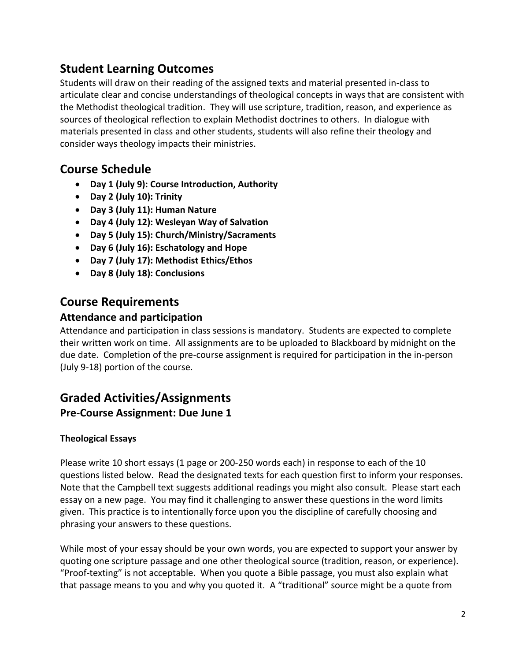## **Student Learning Outcomes**

Students will draw on their reading of the assigned texts and material presented in-class to articulate clear and concise understandings of theological concepts in ways that are consistent with the Methodist theological tradition. They will use scripture, tradition, reason, and experience as sources of theological reflection to explain Methodist doctrines to others. In dialogue with materials presented in class and other students, students will also refine their theology and consider ways theology impacts their ministries.

## **Course Schedule**

- **Day 1 (July 9): Course Introduction, Authority**
- **Day 2 (July 10): Trinity**
- **Day 3 (July 11): Human Nature**
- **Day 4 (July 12): Wesleyan Way of Salvation**
- **Day 5 (July 15): Church/Ministry/Sacraments**
- **Day 6 (July 16): Eschatology and Hope**
- **Day 7 (July 17): Methodist Ethics/Ethos**
- **Day 8 (July 18): Conclusions**

## **Course Requirements**

### **Attendance and participation**

Attendance and participation in class sessions is mandatory. Students are expected to complete their written work on time. All assignments are to be uploaded to Blackboard by midnight on the due date. Completion of the pre-course assignment is required for participation in the in-person (July 9-18) portion of the course.

## **Graded Activities/Assignments Pre-Course Assignment: Due June 1**

## **Theological Essays**

Please write 10 short essays (1 page or 200-250 words each) in response to each of the 10 questions listed below. Read the designated texts for each question first to inform your responses. Note that the Campbell text suggests additional readings you might also consult. Please start each essay on a new page. You may find it challenging to answer these questions in the word limits given. This practice is to intentionally force upon you the discipline of carefully choosing and phrasing your answers to these questions.

While most of your essay should be your own words, you are expected to support your answer by quoting one scripture passage and one other theological source (tradition, reason, or experience). "Proof-texting" is not acceptable. When you quote a Bible passage, you must also explain what that passage means to you and why you quoted it. A "traditional" source might be a quote from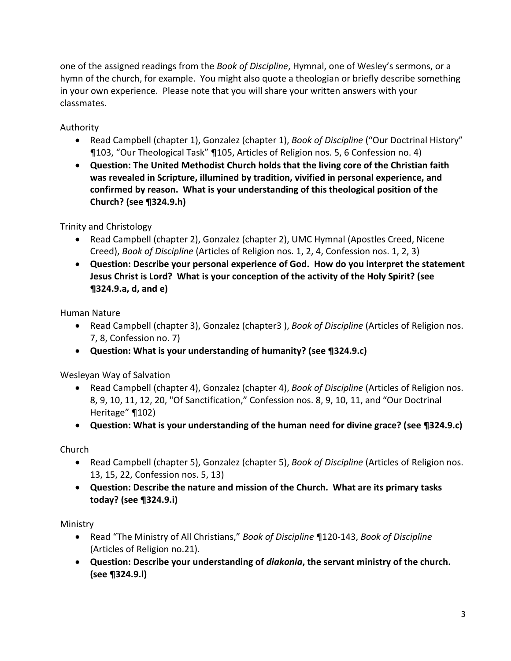one of the assigned readings from the *Book of Discipline*, Hymnal, one of Wesley's sermons, or a hymn of the church, for example. You might also quote a theologian or briefly describe something in your own experience. Please note that you will share your written answers with your classmates.

Authority

- Read Campbell (chapter 1), Gonzalez (chapter 1), *Book of Discipline* ("Our Doctrinal History" ¶103, "Our Theological Task" ¶105, Articles of Religion nos. 5, 6 Confession no. 4)
- **Question: The United Methodist Church holds that the living core of the Christian faith was revealed in Scripture, illumined by tradition, vivified in personal experience, and confirmed by reason. What is your understanding of this theological position of the Church? (see ¶324.9.h)**

Trinity and Christology

- Read Campbell (chapter 2), Gonzalez (chapter 2), UMC Hymnal (Apostles Creed, Nicene Creed), *Book of Discipline* (Articles of Religion nos. 1, 2, 4, Confession nos. 1, 2, 3)
- **Question: Describe your personal experience of God. How do you interpret the statement Jesus Christ is Lord? What is your conception of the activity of the Holy Spirit? (see ¶324.9.a, d, and e)**

Human Nature

- Read Campbell (chapter 3), Gonzalez (chapter3 ), *Book of Discipline* (Articles of Religion nos. 7, 8, Confession no. 7)
- **Question: What is your understanding of humanity? (see ¶324.9.c)**

Wesleyan Way of Salvation

- Read Campbell (chapter 4), Gonzalez (chapter 4), *Book of Discipline* (Articles of Religion nos. 8, 9, 10, 11, 12, 20, "Of Sanctification," Confession nos. 8, 9, 10, 11, and "Our Doctrinal Heritage" ¶102)
- **Question: What is your understanding of the human need for divine grace? (see ¶324.9.c)**

Church

- Read Campbell (chapter 5), Gonzalez (chapter 5), *Book of Discipline* (Articles of Religion nos. 13, 15, 22, Confession nos. 5, 13)
- **Question: Describe the nature and mission of the Church. What are its primary tasks today? (see ¶324.9.i)**

Ministry

- Read "The Ministry of All Christians," *Book of Discipline* ¶120-143, *Book of Discipline* (Articles of Religion no.21).
- **Question: Describe your understanding of** *diakonia***, the servant ministry of the church. (see ¶324.9.l)**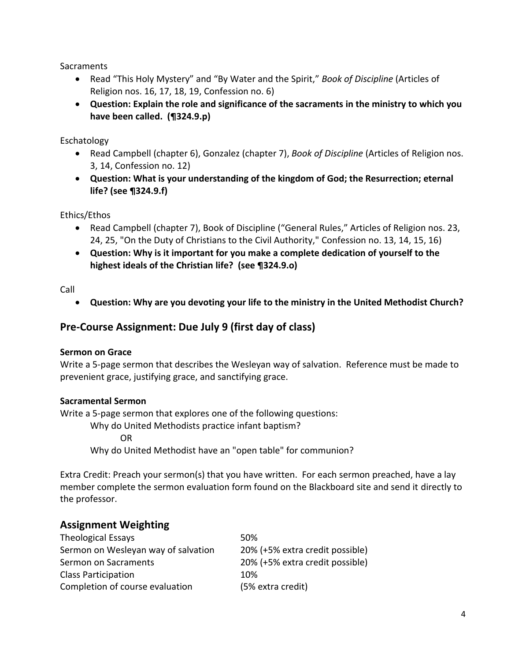**Sacraments** 

- Read "This Holy Mystery" and "By Water and the Spirit," *Book of Discipline* (Articles of Religion nos. 16, 17, 18, 19, Confession no. 6)
- **Question: Explain the role and significance of the sacraments in the ministry to which you have been called. (¶324.9.p)**

Eschatology

- Read Campbell (chapter 6), Gonzalez (chapter 7), *Book of Discipline* (Articles of Religion nos. 3, 14, Confession no. 12)
- **Question: What is your understanding of the kingdom of God; the Resurrection; eternal life? (see ¶324.9.f)**

Ethics/Ethos

- Read Campbell (chapter 7), Book of Discipline ("General Rules," Articles of Religion nos. 23, 24, 25, "On the Duty of Christians to the Civil Authority," Confession no. 13, 14, 15, 16)
- **Question: Why is it important for you make a complete dedication of yourself to the highest ideals of the Christian life? (see ¶324.9.o)**

Call

**Question: Why are you devoting your life to the ministry in the United Methodist Church?** 

### **Pre-Course Assignment: Due July 9 (first day of class)**

#### **Sermon on Grace**

Write a 5-page sermon that describes the Wesleyan way of salvation. Reference must be made to prevenient grace, justifying grace, and sanctifying grace.

#### **Sacramental Sermon**

Write a 5-page sermon that explores one of the following questions:

Why do United Methodists practice infant baptism?

OR

Why do United Methodist have an "open table" for communion?

Extra Credit: Preach your sermon(s) that you have written. For each sermon preached, have a lay member complete the sermon evaluation form found on the Blackboard site and send it directly to the professor.

### **Assignment Weighting**

| Theological Essays                  | 50%                             |
|-------------------------------------|---------------------------------|
| Sermon on Wesleyan way of salvation | 20% (+5% extra credit possible) |
| Sermon on Sacraments                | 20% (+5% extra credit possible) |
| <b>Class Participation</b>          | 10%                             |
| Completion of course evaluation     | (5% extra credit)               |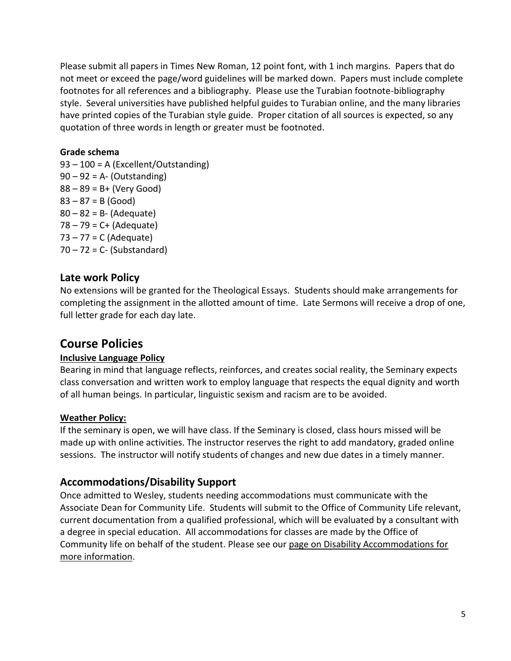Please submit all papers in Times New Roman, 12 point font, with 1 inch margins. Papers that do not meet or exceed the page/word guidelines will be marked down. Papers must include complete footnotes for all references and a bibliography. Please use the Turabian footnote-bibliography style. Several universities have published helpful guides to Turabian online, and the many libraries have printed copies of the Turabian style guide. Proper citation of all sources is expected, so any quotation of three words in length or greater must be footnoted.

#### **Grade schema**

93 – 100 = A (Excellent/Outstanding)  $90 - 92 = A - (Outstanding)$  $88 - 89 = B + (Very Good)$  $83 - 87 = B$  (Good)  $80 - 82 = B - (Adequate)$  $78 - 79 = C + (Adequate)$ 73 – 77 = C (Adequate)  $70 - 72 = C -$  (Substandard)

### **Late work Policy**

No extensions will be granted for the Theological Essays. Students should make arrangements for completing the assignment in the allotted amount of time. Late Sermons will receive a drop of one, full letter grade for each day late.

## **Course Policies**

### **Inclusive Language Policy**

Bearing in mind that language reflects, reinforces, and creates social reality, the Seminary expects class conversation and written work to employ language that respects the equal dignity and worth of all human beings. In particular, linguistic sexism and racism are to be avoided.

#### **Weather Policy:**

If the seminary is open, we will have class. If the Seminary is closed, class hours missed will be made up with online activities. The instructor reserves the right to add mandatory, graded online sessions. The instructor will notify students of changes and new due dates in a timely manner.

## **Accommodations/Disability Support**

Once admitted to Wesley, students needing accommodations must communicate with the Associate Dean for Community Life. Students will submit to the Office of Community Life relevant, current documentation from a qualified professional, which will be evaluated by a consultant with a degree in special education. All accommodations for classes are made by the Office of Community life on behalf of the student. Please see our [page on Disability Accommodations for](https://www.wesleyseminary.edu/community-life/academic-and-access-support/disability-accommodations/)  [more information.](https://www.wesleyseminary.edu/community-life/academic-and-access-support/disability-accommodations/)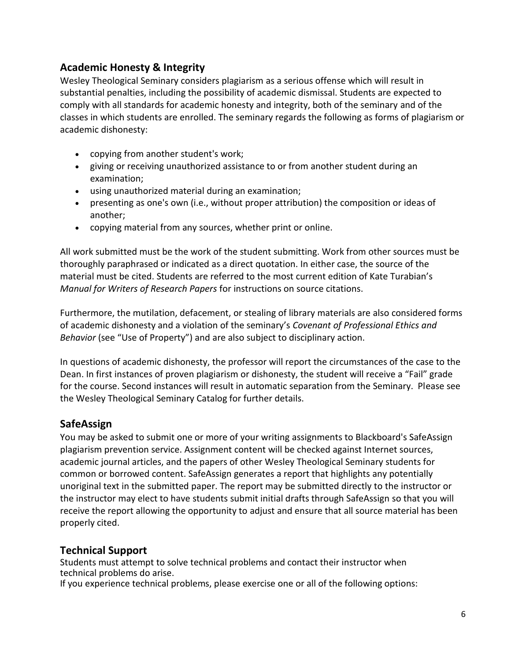## **Academic Honesty & Integrity**

Wesley Theological Seminary considers plagiarism as a serious offense which will result in substantial penalties, including the possibility of academic dismissal. Students are expected to comply with all standards for academic honesty and integrity, both of the seminary and of the classes in which students are enrolled. The seminary regards the following as forms of plagiarism or academic dishonesty:

- copying from another student's work;
- giving or receiving unauthorized assistance to or from another student during an examination;
- using unauthorized material during an examination;
- presenting as one's own (i.e., without proper attribution) the composition or ideas of another;
- copying material from any sources, whether print or online.

All work submitted must be the work of the student submitting. Work from other sources must be thoroughly paraphrased or indicated as a direct quotation. In either case, the source of the material must be cited. Students are referred to the most current edition of Kate Turabian's *Manual for Writers of Research Papers* for instructions on source citations.

Furthermore, the mutilation, defacement, or stealing of library materials are also considered forms of academic dishonesty and a violation of the seminary's *Covenant of Professional Ethics and Behavior* (see "Use of Property") and are also subject to disciplinary action.

In questions of academic dishonesty, the professor will report the circumstances of the case to the Dean. In first instances of proven plagiarism or dishonesty, the student will receive a "Fail" grade for the course. Second instances will result in automatic separation from the Seminary. Please see the Wesley Theological Seminary Catalog for further details.

## **SafeAssign**

You may be asked to submit one or more of your writing assignments to Blackboard's SafeAssign plagiarism prevention service. Assignment content will be checked against Internet sources, academic journal articles, and the papers of other Wesley Theological Seminary students for common or borrowed content. SafeAssign generates a report that highlights any potentially unoriginal text in the submitted paper. The report may be submitted directly to the instructor or the instructor may elect to have students submit initial drafts through SafeAssign so that you will receive the report allowing the opportunity to adjust and ensure that all source material has been properly cited.

## **Technical Support**

Students must attempt to solve technical problems and contact their instructor when technical problems do arise.

If you experience technical problems, please exercise one or all of the following options: